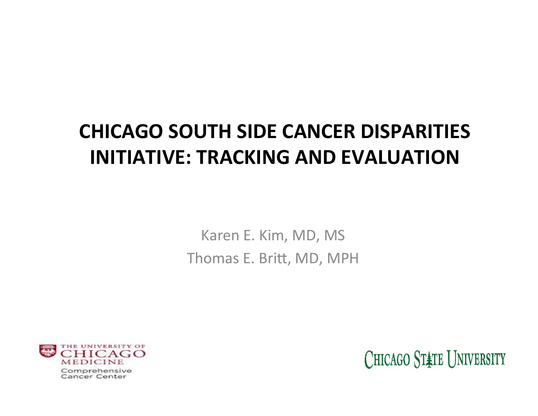### **CHICAGO SOUTH SIDE CANCER DISPARITIES INITIATIVE: TRACKING AND EVALUATION**

Karen E. Kim, MD, MS Thomas E. Britt, MD, MPH

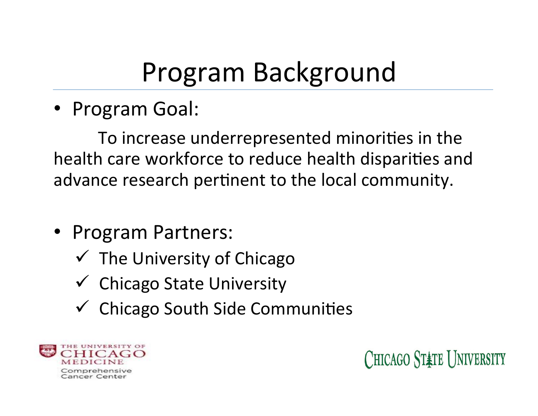# Program Background

• Program Goal:

To increase underrepresented minorities in the health care workforce to reduce health disparities and advance research pertinent to the local community.

- Program Partners:
	- $\checkmark$  The University of Chicago
	- $\checkmark$  Chicago State University
	- $\checkmark$  Chicago South Side Communities

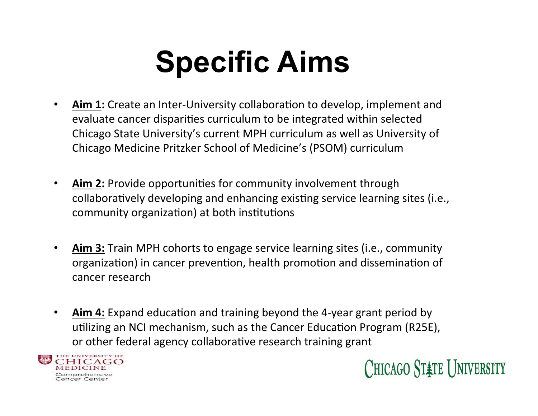# **Specific Aims**

- Aim 1: Create an Inter-University collaboration to develop, implement and evaluate cancer disparities curriculum to be integrated within selected Chicago State University's current MPH curriculum as well as University of Chicago Medicine Pritzker School of Medicine's (PSOM) curriculum
- **Aim 2:** Provide opportunities for community involvement through collaboratively developing and enhancing existing service learning sites (i.e., community organization) at both institutions
- Aim 3: Train MPH cohorts to engage service learning sites (i.e., community organization) in cancer prevention, health promotion and dissemination of cancer research
- Aim 4: Expand education and training beyond the 4-year grant period by utilizing an NCI mechanism, such as the Cancer Education Program (R25E), or other federal agency collaborative research training grant



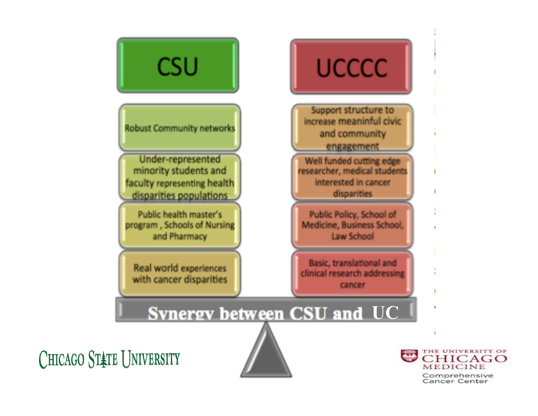

Comprehensive Cancer Center

ICAGO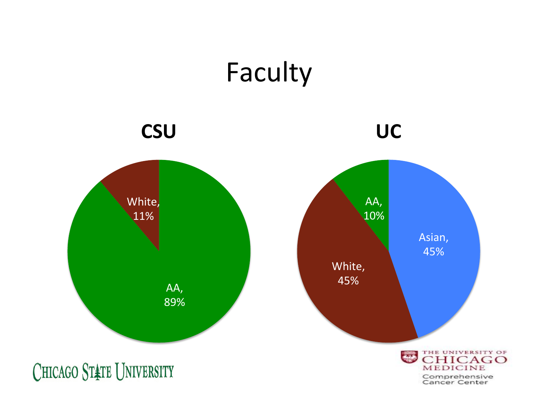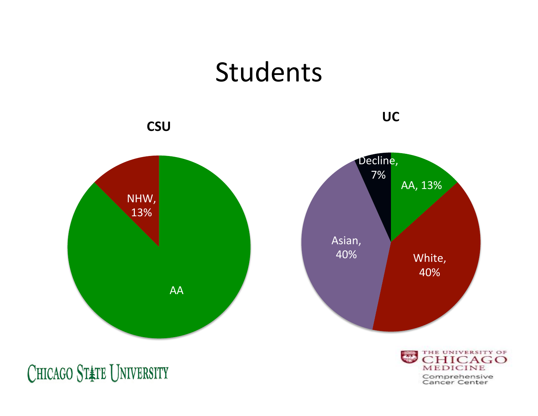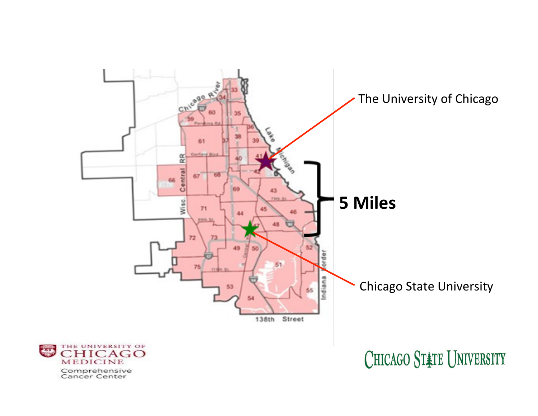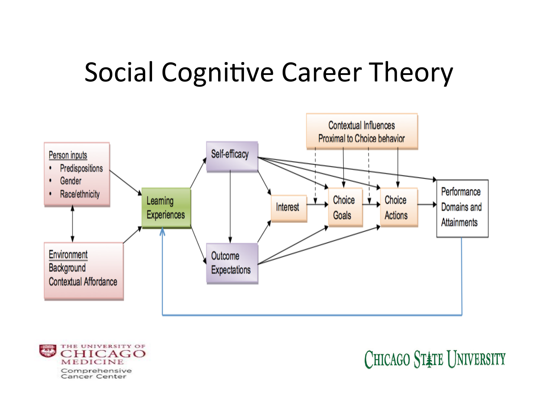### Social Cognitive Career Theory



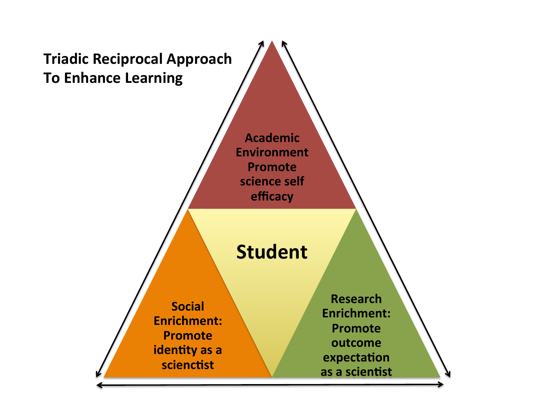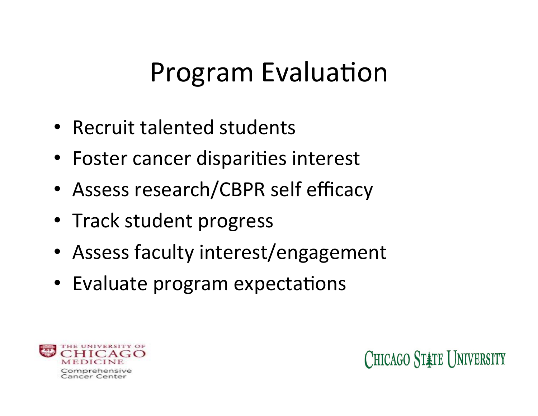## Program Evaluation

- Recruit talented students
- Foster cancer disparities interest
- Assess research/CBPR self efficacy
- Track student progress
- Assess faculty interest/engagement
- Evaluate program expectations

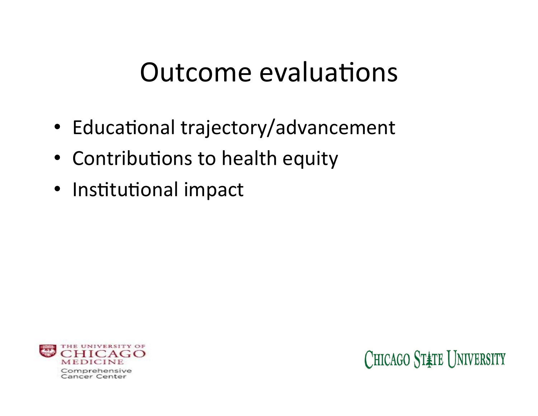### Outcome evaluations

- Educational trajectory/advancement
- Contributions to health equity
- Institutional impact

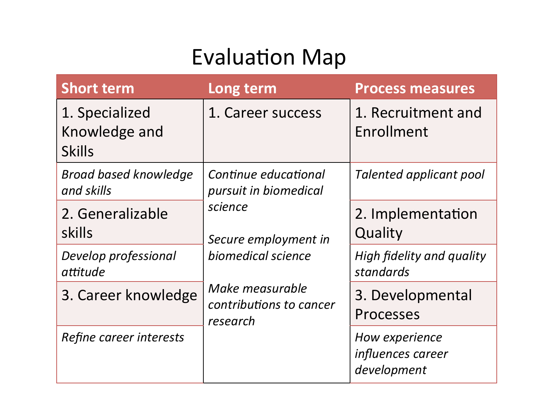### **Evaluation Map**

| <b>Short term</b>                                | Long term                                                                                                                                                        | <b>Process measures</b>                            |
|--------------------------------------------------|------------------------------------------------------------------------------------------------------------------------------------------------------------------|----------------------------------------------------|
| 1. Specialized<br>Knowledge and<br><b>Skills</b> | 1. Career success                                                                                                                                                | 1. Recruitment and<br>Enrollment                   |
| <b>Broad based knowledge</b><br>and skills       | Continue educational<br>pursuit in biomedical<br>science<br>Secure employment in<br>biomedical science<br>Make measurable<br>contributions to cancer<br>research | <b>Talented applicant pool</b>                     |
| 2. Generalizable<br>skills                       |                                                                                                                                                                  | 2. Implementation<br>Quality                       |
| Develop professional<br>attitude                 |                                                                                                                                                                  | <b>High fidelity and quality</b><br>standards      |
| 3. Career knowledge                              |                                                                                                                                                                  | 3. Developmental<br>Processes                      |
| Refine career interests                          |                                                                                                                                                                  | How experience<br>influences career<br>development |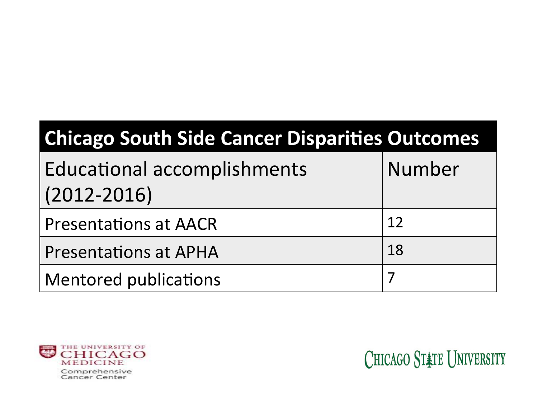| <b>Chicago South Side Cancer Disparities Outcomes</b> |        |  |  |  |
|-------------------------------------------------------|--------|--|--|--|
| <b>Educational accomplishments</b><br>$(2012 - 2016)$ | Number |  |  |  |
| <b>Presentations at AACR</b>                          | 12     |  |  |  |
| <b>Presentations at APHA</b>                          | 18     |  |  |  |
| <b>Mentored publications</b>                          |        |  |  |  |

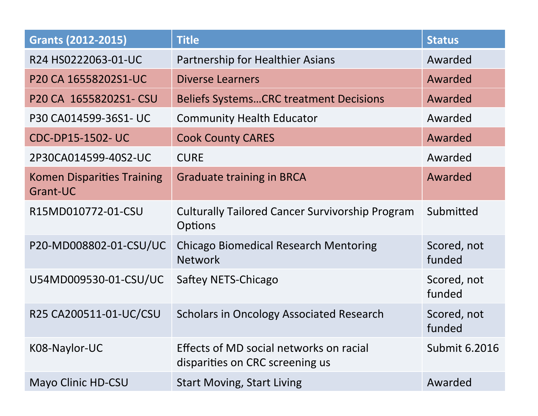| <b>Grants (2012-2015)</b>                     | <b>Title</b>                                                               | <b>Status</b>         |
|-----------------------------------------------|----------------------------------------------------------------------------|-----------------------|
| R24 HS0222063-01-UC                           | Partnership for Healthier Asians                                           | Awarded               |
| P20 CA 16558202S1-UC                          | <b>Diverse Learners</b>                                                    | Awarded               |
| P20 CA 16558202S1- CSU                        | <b>Beliefs SystemsCRC treatment Decisions</b>                              | Awarded               |
| P30 CA014599-36S1- UC                         | <b>Community Health Educator</b>                                           | Awarded               |
| <b>CDC-DP15-1502-UC</b>                       | <b>Cook County CARES</b>                                                   | Awarded               |
| 2P30CA014599-40S2-UC                          | <b>CURE</b>                                                                | Awarded               |
| <b>Komen Disparities Training</b><br>Grant-UC | <b>Graduate training in BRCA</b>                                           | Awarded               |
| R15MD010772-01-CSU                            | <b>Culturally Tailored Cancer Survivorship Program</b><br><b>Options</b>   | Submitted             |
| P20-MD008802-01-CSU/UC                        | <b>Chicago Biomedical Research Mentoring</b><br><b>Network</b>             | Scored, not<br>funded |
| U54MD009530-01-CSU/UC                         | Saftey NETS-Chicago                                                        | Scored, not<br>funded |
| R25 CA200511-01-UC/CSU                        | <b>Scholars in Oncology Associated Research</b>                            | Scored, not<br>funded |
| K08-Naylor-UC                                 | Effects of MD social networks on racial<br>disparities on CRC screening us | <b>Submit 6.2016</b>  |
| Mayo Clinic HD-CSU                            | <b>Start Moving, Start Living</b>                                          | Awarded               |